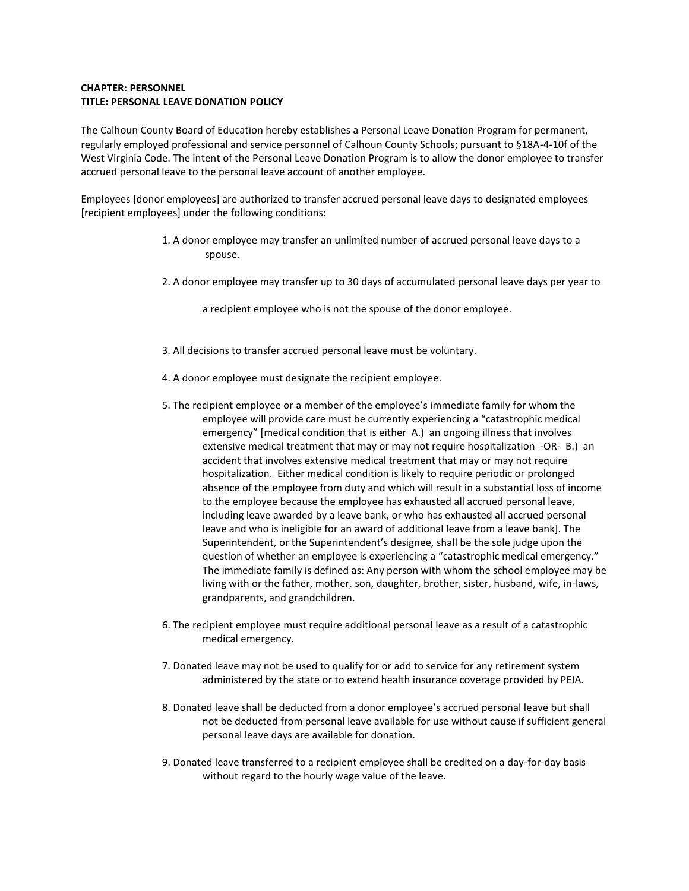## **CHAPTER: PERSONNEL TITLE: PERSONAL LEAVE DONATION POLICY**

The Calhoun County Board of Education hereby establishes a Personal Leave Donation Program for permanent, regularly employed professional and service personnel of Calhoun County Schools; pursuant to §18A-4-10f of the West Virginia Code. The intent of the Personal Leave Donation Program is to allow the donor employee to transfer accrued personal leave to the personal leave account of another employee.

Employees [donor employees] are authorized to transfer accrued personal leave days to designated employees [recipient employees] under the following conditions:

- 1. A donor employee may transfer an unlimited number of accrued personal leave days to a spouse.
- 2. A donor employee may transfer up to 30 days of accumulated personal leave days per year to

a recipient employee who is not the spouse of the donor employee.

- 3. All decisions to transfer accrued personal leave must be voluntary.
- 4. A donor employee must designate the recipient employee.
- 5. The recipient employee or a member of the employee's immediate family for whom the employee will provide care must be currently experiencing a "catastrophic medical emergency" [medical condition that is either A.) an ongoing illness that involves extensive medical treatment that may or may not require hospitalization -OR- B.) an accident that involves extensive medical treatment that may or may not require hospitalization. Either medical condition is likely to require periodic or prolonged absence of the employee from duty and which will result in a substantial loss of income to the employee because the employee has exhausted all accrued personal leave, including leave awarded by a leave bank, or who has exhausted all accrued personal leave and who is ineligible for an award of additional leave from a leave bank]. The Superintendent, or the Superintendent's designee, shall be the sole judge upon the question of whether an employee is experiencing a "catastrophic medical emergency." The immediate family is defined as: Any person with whom the school employee may be living with or the father, mother, son, daughter, brother, sister, husband, wife, in-laws, grandparents, and grandchildren.
- 6. The recipient employee must require additional personal leave as a result of a catastrophic medical emergency.
- 7. Donated leave may not be used to qualify for or add to service for any retirement system administered by the state or to extend health insurance coverage provided by PEIA.
- 8. Donated leave shall be deducted from a donor employee's accrued personal leave but shall not be deducted from personal leave available for use without cause if sufficient general personal leave days are available for donation.
- 9. Donated leave transferred to a recipient employee shall be credited on a day-for-day basis without regard to the hourly wage value of the leave.